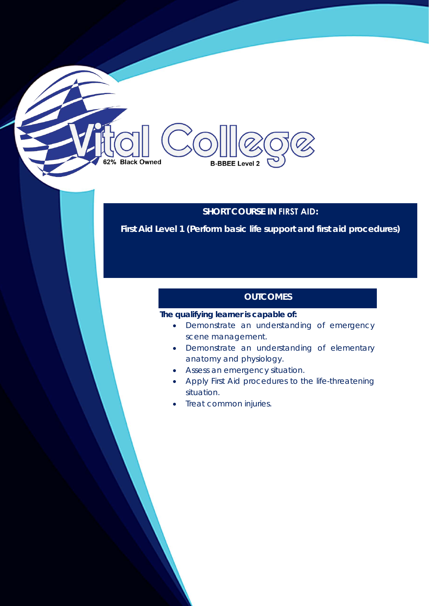# **SHORT COURSE IN FIRST AID:**

**First Aid Level 1 (Perform basic life support and first aid procedures)** 

# **OUTCOMES**

### **The qualifying learner is capable of:**

**B-BBEE Level 2** 

62% Black Owned

- Demonstrate an understanding of emergency scene management.
- Demonstrate an understanding of elementary anatomy and physiology.
- Assess an emergency situation.
- Apply First Aid procedures to the life-threatening situation.
- **Treat common injuries.**